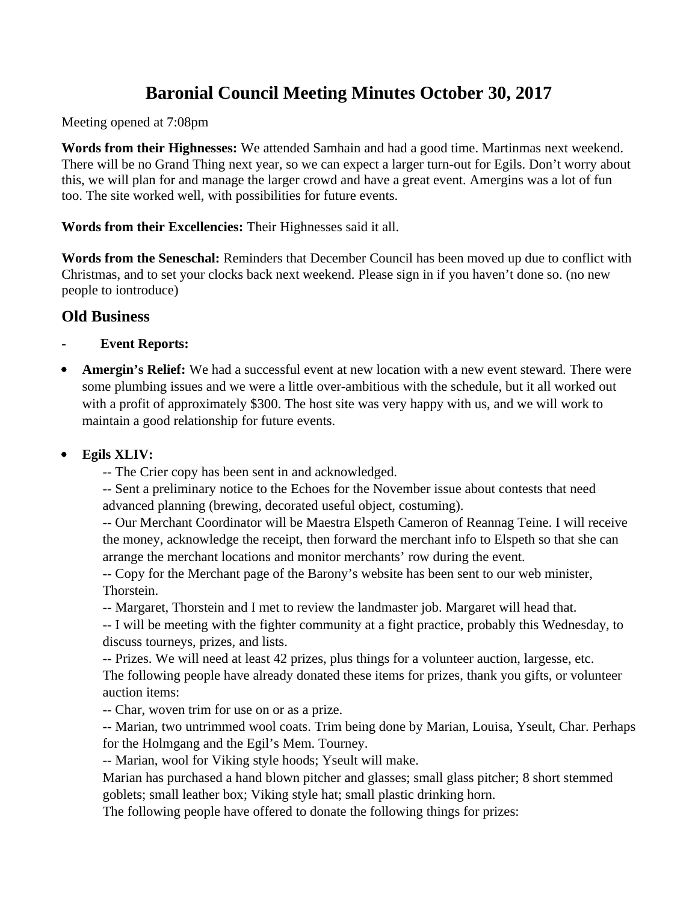# **Baronial Council Meeting Minutes October 30, 2017**

Meeting opened at 7:08pm

**Words from their Highnesses:** We attended Samhain and had a good time. Martinmas next weekend. There will be no Grand Thing next year, so we can expect a larger turn-out for Egils. Don't worry about this, we will plan for and manage the larger crowd and have a great event. Amergins was a lot of fun too. The site worked well, with possibilities for future events.

**Words from their Excellencies:** Their Highnesses said it all.

**Words from the Seneschal:** Reminders that December Council has been moved up due to conflict with Christmas, and to set your clocks back next weekend. Please sign in if you haven't done so. (no new people to iontroduce)

# **Old Business**

- **Event Reports:**
- **Amergin's Relief:** We had a successful event at new location with a new event steward. There were some plumbing issues and we were a little over-ambitious with the schedule, but it all worked out with a profit of approximately \$300. The host site was very happy with us, and we will work to maintain a good relationship for future events.
- **Egils XLIV:** 
	- -- The Crier copy has been sent in and acknowledged.

-- Sent a preliminary notice to the Echoes for the November issue about contests that need advanced planning (brewing, decorated useful object, costuming).

-- Our Merchant Coordinator will be Maestra Elspeth Cameron of Reannag Teine. I will receive the money, acknowledge the receipt, then forward the merchant info to Elspeth so that she can arrange the merchant locations and monitor merchants' row during the event.

-- Copy for the Merchant page of the Barony's website has been sent to our web minister, Thorstein.

-- Margaret, Thorstein and I met to review the landmaster job. Margaret will head that.

-- I will be meeting with the fighter community at a fight practice, probably this Wednesday, to discuss tourneys, prizes, and lists.

-- Prizes. We will need at least 42 prizes, plus things for a volunteer auction, largesse, etc. The following people have already donated these items for prizes, thank you gifts, or volunteer auction items:

-- Char, woven trim for use on or as a prize.

-- Marian, two untrimmed wool coats. Trim being done by Marian, Louisa, Yseult, Char. Perhaps for the Holmgang and the Egil's Mem. Tourney.

-- Marian, wool for Viking style hoods; Yseult will make.

Marian has purchased a hand blown pitcher and glasses; small glass pitcher; 8 short stemmed goblets; small leather box; Viking style hat; small plastic drinking horn.

The following people have offered to donate the following things for prizes: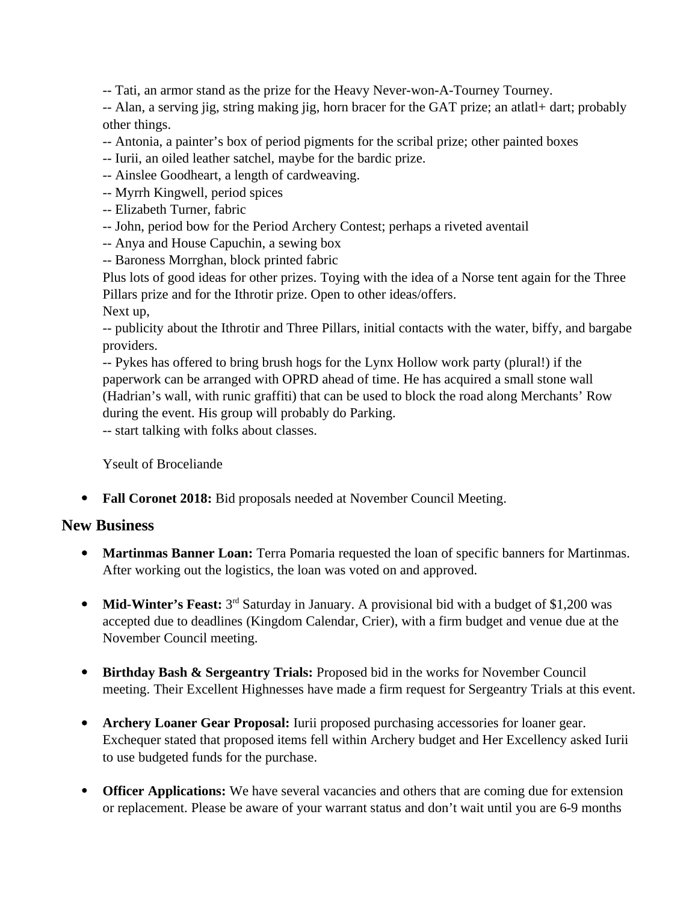-- Tati, an armor stand as the prize for the Heavy Never-won-A-Tourney Tourney.

-- Alan, a serving jig, string making jig, horn bracer for the GAT prize; an atlatl+ dart; probably other things.

- -- Antonia, a painter's box of period pigments for the scribal prize; other painted boxes
- -- Iurii, an oiled leather satchel, maybe for the bardic prize.
- -- Ainslee Goodheart, a length of cardweaving.
- -- Myrrh Kingwell, period spices
- -- Elizabeth Turner, fabric
- -- John, period bow for the Period Archery Contest; perhaps a riveted aventail
- -- Anya and House Capuchin, a sewing box
- -- Baroness Morrghan, block printed fabric

Plus lots of good ideas for other prizes. Toying with the idea of a Norse tent again for the Three Pillars prize and for the Ithrotir prize. Open to other ideas/offers.

Next up,

-- publicity about the Ithrotir and Three Pillars, initial contacts with the water, biffy, and bargabe providers.

-- Pykes has offered to bring brush hogs for the Lynx Hollow work party (plural!) if the paperwork can be arranged with OPRD ahead of time. He has acquired a small stone wall (Hadrian's wall, with runic graffiti) that can be used to block the road along Merchants' Row during the event. His group will probably do Parking.

-- start talking with folks about classes.

Yseult of Broceliande

**Fall Coronet 2018:** Bid proposals needed at November Council Meeting.

# **New Business**

- **Martinmas Banner Loan:** Terra Pomaria requested the loan of specific banners for Martinmas. After working out the logistics, the loan was voted on and approved.
- Mid-Winter's Feast: 3<sup>rd</sup> Saturday in January. A provisional bid with a budget of \$1,200 was accepted due to deadlines (Kingdom Calendar, Crier), with a firm budget and venue due at the November Council meeting.
- **Birthday Bash & Sergeantry Trials:** Proposed bid in the works for November Council meeting. Their Excellent Highnesses have made a firm request for Sergeantry Trials at this event.
- **Archery Loaner Gear Proposal:** Iurii proposed purchasing accessories for loaner gear. Exchequer stated that proposed items fell within Archery budget and Her Excellency asked Iurii to use budgeted funds for the purchase.
- **Officer Applications:** We have several vacancies and others that are coming due for extension or replacement. Please be aware of your warrant status and don't wait until you are 6-9 months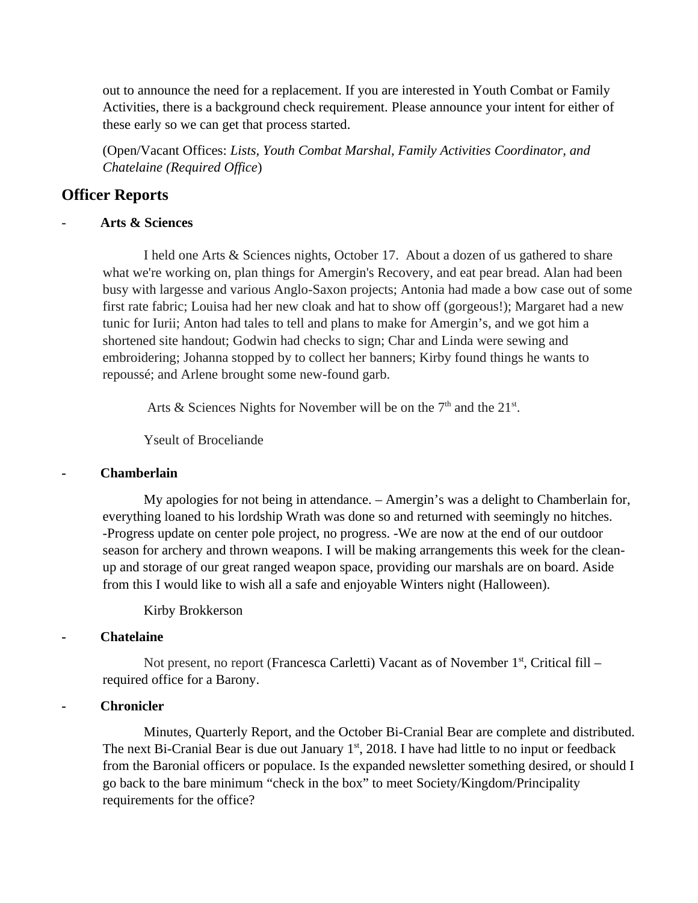out to announce the need for a replacement. If you are interested in Youth Combat or Family Activities, there is a background check requirement. Please announce your intent for either of these early so we can get that process started.

(Open/Vacant Offices: *Lists, Youth Combat Marshal, Family Activities Coordinator, and Chatelaine (Required Office*)

# **Officer Reports**

### - **Arts & Sciences**

I held one Arts & Sciences nights, October 17. About a dozen of us gathered to share what we're working on, plan things for Amergin's Recovery, and eat pear bread. Alan had been busy with largesse and various Anglo-Saxon projects; Antonia had made a bow case out of some first rate fabric; Louisa had her new cloak and hat to show off (gorgeous!); Margaret had a new tunic for Iurii; Anton had tales to tell and plans to make for Amergin's, and we got him a shortened site handout; Godwin had checks to sign; Char and Linda were sewing and embroidering; Johanna stopped by to collect her banners; Kirby found things he wants to repoussé; and Arlene brought some new-found garb.

Arts & Sciences Nights for November will be on the  $7<sup>th</sup>$  and the  $21<sup>st</sup>$ .

Yseult of Broceliande

#### **- Chamberlain**

My apologies for not being in attendance. – Amergin's was a delight to Chamberlain for, everything loaned to his lordship Wrath was done so and returned with seemingly no hitches. -Progress update on center pole project, no progress. -We are now at the end of our outdoor season for archery and thrown weapons. I will be making arrangements this week for the cleanup and storage of our great ranged weapon space, providing our marshals are on board. Aside from this I would like to wish all a safe and enjoyable Winters night (Halloween).

# Kirby Brokkerson

#### **- Chatelaine**

Not present, no report (Francesca Carletti) Vacant as of November  $1<sup>st</sup>$ , Critical fill – required office for a Barony.

# **- Chronicler**

Minutes, Quarterly Report, and the October Bi-Cranial Bear are complete and distributed. The next Bi-Cranial Bear is due out January  $1<sup>st</sup>$ , 2018. I have had little to no input or feedback from the Baronial officers or populace. Is the expanded newsletter something desired, or should I go back to the bare minimum "check in the box" to meet Society/Kingdom/Principality requirements for the office?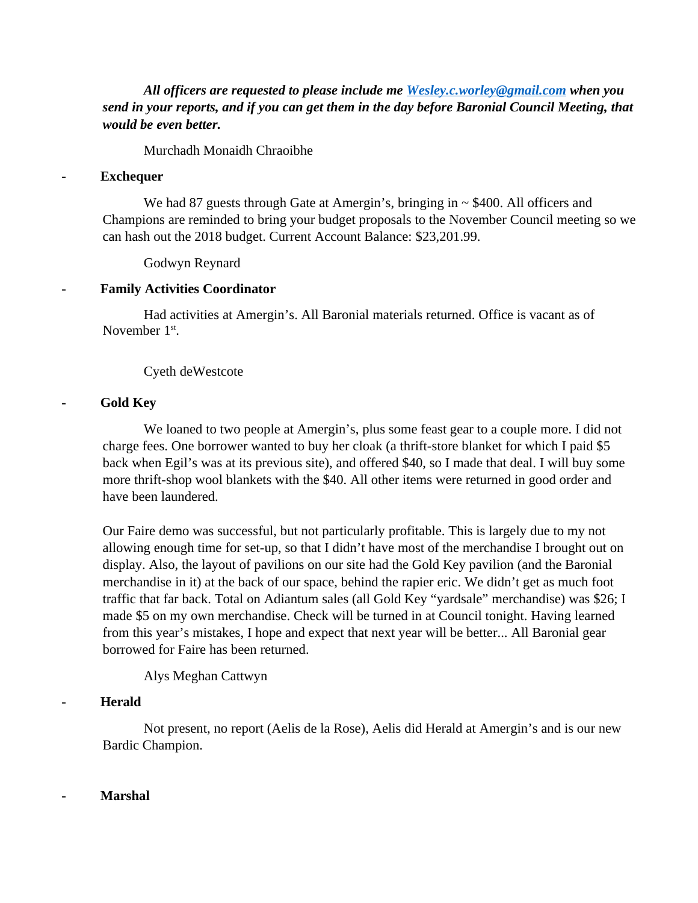*All officers are requested to please include me [Wesley.c.worley@gmail.com](mailto:Wesley.c.worley@gmail.com) when you send in your reports, and if you can get them in the day before Baronial Council Meeting, that would be even better.* 

Murchadh Monaidh Chraoibhe

#### **- Exchequer**

We had 87 guests through Gate at Amergin's, bringing in  $\sim$  \$400. All officers and Champions are reminded to bring your budget proposals to the November Council meeting so we can hash out the 2018 budget. Current Account Balance: \$23,201.99.

Godwyn Reynard

#### **- Family Activities Coordinator**

Had activities at Amergin's. All Baronial materials returned. Office is vacant as of November 1<sup>st</sup>.

Cyeth deWestcote

#### **- Gold Key**

We loaned to two people at Amergin's, plus some feast gear to a couple more. I did not charge fees. One borrower wanted to buy her cloak (a thrift-store blanket for which I paid \$5 back when Egil's was at its previous site), and offered \$40, so I made that deal. I will buy some more thrift-shop wool blankets with the \$40. All other items were returned in good order and have been laundered.

Our Faire demo was successful, but not particularly profitable. This is largely due to my not allowing enough time for set-up, so that I didn't have most of the merchandise I brought out on display. Also, the layout of pavilions on our site had the Gold Key pavilion (and the Baronial merchandise in it) at the back of our space, behind the rapier eric. We didn't get as much foot traffic that far back. Total on Adiantum sales (all Gold Key "yardsale" merchandise) was \$26; I made \$5 on my own merchandise. Check will be turned in at Council tonight. Having learned from this year's mistakes, I hope and expect that next year will be better... All Baronial gear borrowed for Faire has been returned.

Alys Meghan Cattwyn

#### **- Herald**

Not present, no report (Aelis de la Rose), Aelis did Herald at Amergin's and is our new Bardic Champion.

#### **- Marshal**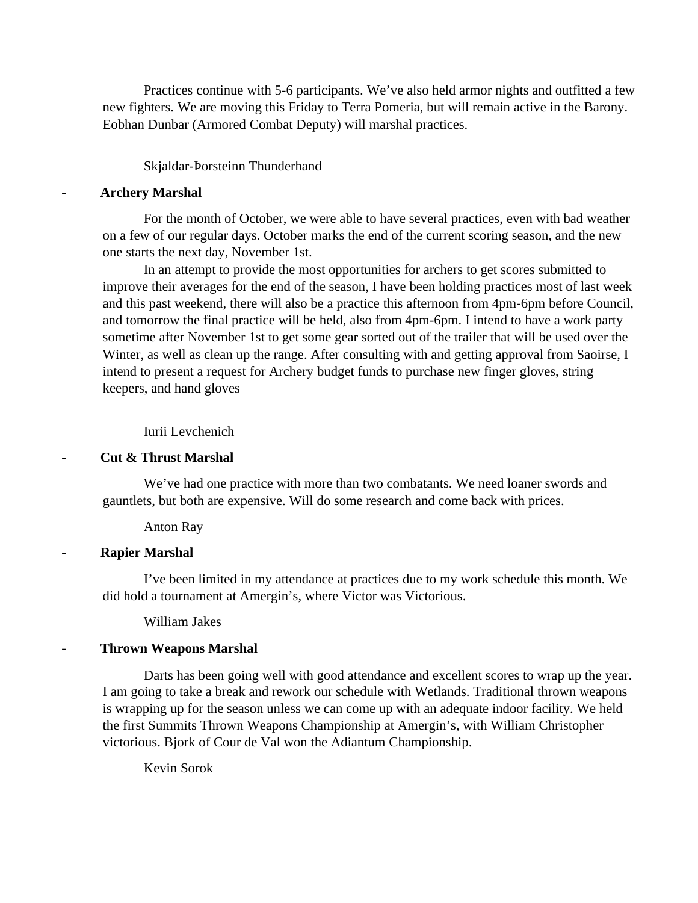Practices continue with 5-6 participants. We've also held armor nights and outfitted a few new fighters. We are moving this Friday to Terra Pomeria, but will remain active in the Barony. Eobhan Dunbar (Armored Combat Deputy) will marshal practices.

#### Skjaldar-Þorsteinn Thunderhand

#### **- Archery Marshal**

For the month of October, we were able to have several practices, even with bad weather on a few of our regular days. October marks the end of the current scoring season, and the new one starts the next day, November 1st.

In an attempt to provide the most opportunities for archers to get scores submitted to improve their averages for the end of the season, I have been holding practices most of last week and this past weekend, there will also be a practice this afternoon from 4pm-6pm before Council, and tomorrow the final practice will be held, also from 4pm-6pm. I intend to have a work party sometime after November 1st to get some gear sorted out of the trailer that will be used over the Winter, as well as clean up the range. After consulting with and getting approval from Saoirse, I intend to present a request for Archery budget funds to purchase new finger gloves, string keepers, and hand gloves

#### Iurii Levchenich

**- Cut & Thrust Marshal** 

We've had one practice with more than two combatants. We need loaner swords and gauntlets, but both are expensive. Will do some research and come back with prices.

Anton Ray

#### **- Rapier Marshal**

I've been limited in my attendance at practices due to my work schedule this month. We did hold a tournament at Amergin's, where Victor was Victorious.

William Jakes

#### **- Thrown Weapons Marshal**

Darts has been going well with good attendance and excellent scores to wrap up the year. I am going to take a break and rework our schedule with Wetlands. Traditional thrown weapons is wrapping up for the season unless we can come up with an adequate indoor facility. We held the first Summits Thrown Weapons Championship at Amergin's, with William Christopher victorious. Bjork of Cour de Val won the Adiantum Championship.

Kevin Sorok